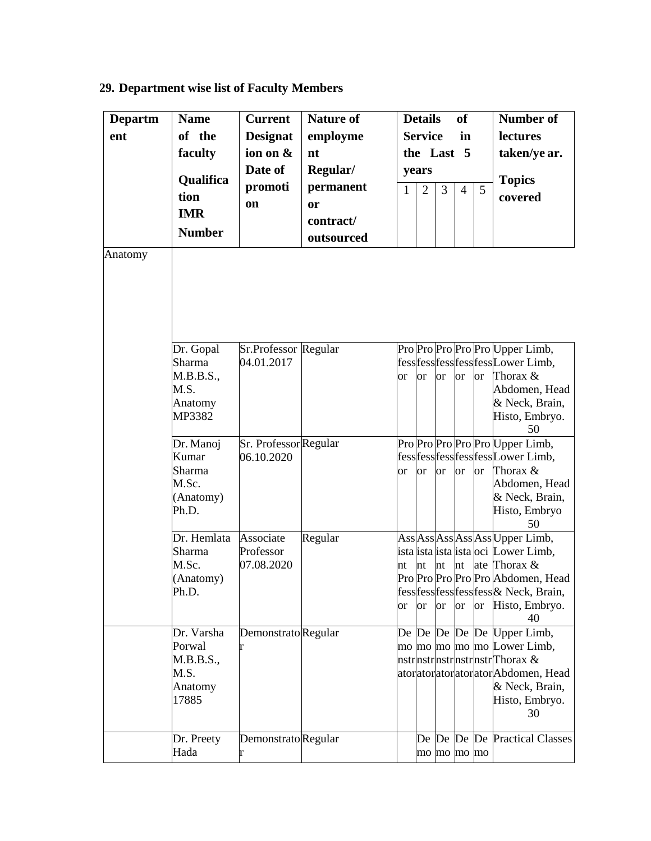## **29. Department wise list of Faculty Members**

| <b>Departm</b> | <b>Name</b>              | <b>Current</b>                                          | <b>Nature of</b>                                     |                                             | <b>Details</b> |               | <b>of</b>      |               | <b>Number of</b>                                          |
|----------------|--------------------------|---------------------------------------------------------|------------------------------------------------------|---------------------------------------------|----------------|---------------|----------------|---------------|-----------------------------------------------------------|
| ent            | of the                   | <b>Designat</b><br>ion on &<br>Date of<br>promoti<br>on | employme<br>nt<br>Regular/<br>permanent<br><b>or</b> | <b>Service</b><br>in<br>the Last 5<br>years |                |               |                |               | lectures<br>taken/ye ar.                                  |
|                | faculty                  |                                                         |                                                      |                                             |                |               |                |               |                                                           |
|                |                          |                                                         |                                                      |                                             |                |               |                |               |                                                           |
|                | <b>Qualifica</b><br>tion |                                                         |                                                      | $\mathbf{1}$                                | $\overline{2}$ | 3             | $\overline{4}$ | <b>Topics</b> |                                                           |
|                |                          |                                                         |                                                      |                                             |                |               |                | 5             | covered                                                   |
|                | <b>IMR</b>               |                                                         | contract/                                            |                                             |                |               |                |               |                                                           |
|                | <b>Number</b>            |                                                         | outsourced                                           |                                             |                |               |                |               |                                                           |
| Anatomy        |                          |                                                         |                                                      |                                             |                |               |                |               |                                                           |
|                |                          |                                                         |                                                      |                                             |                |               |                |               |                                                           |
|                | Dr. Gopal                | Sr.Professor Regular                                    |                                                      |                                             |                |               |                |               | Pro Pro Pro Pro Pro Upper Limb,                           |
|                | Sharma                   | 04.01.2017                                              |                                                      |                                             |                |               |                |               | fess fess fess fess EssLower Limb,                        |
|                | M.B.B.S.,                |                                                         |                                                      | <sub>or</sub>                               | <sub>or</sub>  | <sub>or</sub> | <sub>or</sub>  | <sub>or</sub> | Thorax &                                                  |
|                | M.S.                     |                                                         |                                                      |                                             |                |               |                |               | Abdomen, Head                                             |
|                | Anatomy                  |                                                         |                                                      |                                             |                |               |                |               | & Neck, Brain,                                            |
|                | MP3382                   |                                                         |                                                      |                                             |                |               |                |               | Histo, Embryo.<br>50                                      |
|                | Dr. Manoj                | Sr. Professor Regular                                   |                                                      |                                             |                |               |                |               | Pro Pro Pro Pro Pro Upper Limb,                           |
|                | Kumar                    | 06.10.2020                                              |                                                      |                                             |                |               |                |               | fess fess fess fess Lower Limb,                           |
|                | Sharma                   |                                                         |                                                      | <sub>or</sub>                               | <b>or</b>      | <b>or</b>     | <b>or</b>      | <sub>or</sub> | Thorax &                                                  |
|                | M.Sc.<br>(Anatomy)       |                                                         |                                                      |                                             |                |               |                |               | Abdomen, Head<br>& Neck, Brain,                           |
|                | Ph.D.                    |                                                         |                                                      |                                             |                |               |                |               | Histo, Embryo                                             |
|                |                          |                                                         |                                                      |                                             |                |               |                |               | 50                                                        |
|                | Dr. Hemlata              | Associate                                               | Regular                                              |                                             |                |               |                |               | Ass Ass Ass Ass Ass Upper Limb,                           |
|                | Sharma                   | Professor                                               |                                                      |                                             |                |               |                |               | ista ista ista ista oci Lower Limb,                       |
|                | M.Sc.                    | 07.08.2020                                              |                                                      | nt                                          | nt             | nt            | nt             |               | ate Thorax &                                              |
|                | (Anatomy)<br>Ph.D.       |                                                         |                                                      |                                             |                |               |                |               | Pro Pro Pro Pro Pro Abdomen, Head                         |
|                |                          |                                                         |                                                      | <sub>or</sub>                               | <sub>or</sub>  | <sub>or</sub> | <b>or</b>      | <sub>or</sub> | fess fess fess fess fess & Neck, Brain,<br>Histo, Embryo. |
|                |                          |                                                         |                                                      |                                             |                |               |                |               | 40                                                        |
|                | Dr. Varsha               | Demonstrato Regular                                     |                                                      |                                             |                |               |                |               | De De De De De Upper Limb,                                |
|                | Porwal                   |                                                         |                                                      |                                             |                |               |                |               | mo mo mo mo mo Lower Limb,                                |
|                | M.B.B.S.,                |                                                         |                                                      |                                             |                |               |                |               | nstrnstrnstrnstrnstrThorax &                              |
|                | M.S.                     |                                                         |                                                      |                                             |                |               |                |               | atoratoratoratoratorAbdomen, Head                         |
|                | Anatomy<br>17885         |                                                         |                                                      |                                             |                |               |                |               | & Neck, Brain,<br>Histo, Embryo.                          |
|                |                          |                                                         |                                                      |                                             |                |               |                |               | 30                                                        |
|                |                          |                                                         |                                                      |                                             |                |               |                |               |                                                           |
|                | Dr. Preety               | Demonstrato Regular                                     |                                                      |                                             |                |               |                |               | De De De De Practical Classes                             |
|                | Hada                     | r                                                       |                                                      |                                             | mo mo mo mo    |               |                |               |                                                           |